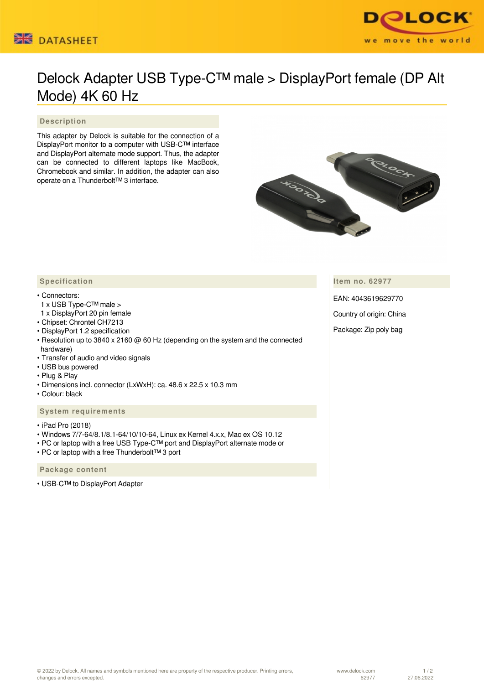#### Ѭ **DATASHEET**



# Delock Adapter USB Type-C™ male > DisplayPort female (DP Alt Mode) 4K 60 Hz

## **Description**

This adapter by Delock is suitable for the connection of a DisplayPort monitor to a computer with USB-C™ interface and DisplayPort alternate mode support. Thus, the adapter can be connected to different laptops like MacBook, Chromebook and similar. In addition, the adapter can also operate on a Thunderbolt™ 3 interface.



**Item no. 62977**

EAN: 4043619629770

Country of origin: China

Package: Zip poly bag

### **Specification**

#### • Connectors:

- 1 x USB Type-C™ male >
- 1 x DisplayPort 20 pin female
- Chipset: Chrontel CH7213
- DisplayPort 1.2 specification
- Resolution up to 3840 x 2160 @ 60 Hz (depending on the system and the connected hardware)
- Transfer of audio and video signals
- USB bus powered
- Plug & Play
- Dimensions incl. connector (LxWxH): ca. 48.6 x 22.5 x 10.3 mm
- Colour: black

#### **System requirements**

- iPad Pro (2018)
- Windows 7/7-64/8.1/8.1-64/10/10-64, Linux ex Kernel 4.x.x, Mac ex OS 10.12
- PC or laptop with a free USB Type-C™ port and DisplayPort alternate mode or
- PC or laptop with a free Thunderbolt™ 3 port

#### **Package content**

• USB-C™ to DisplayPort Adapter